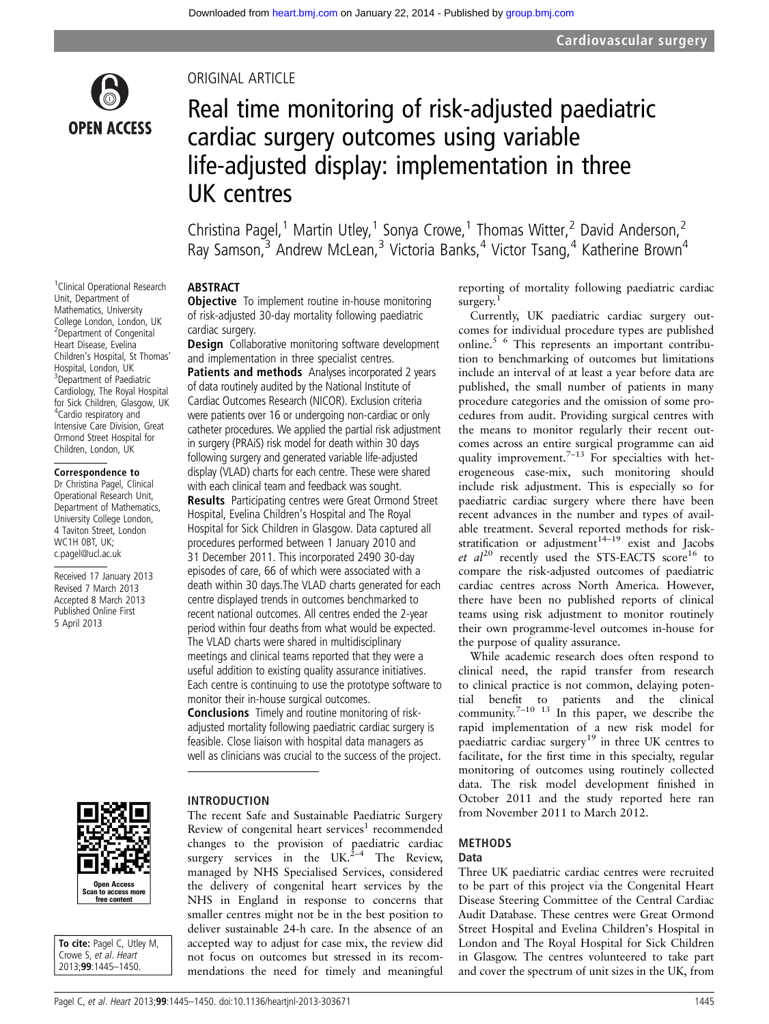

<sup>1</sup> Clinical Operational Research Unit, Department of Mathematics, University College London, London, UK <sup>2</sup>Department of Congenital Heart Disease, Evelina Children's Hospital, St Thomas' Hospital, London, UK <sup>3</sup>Department of Paediatric Cardiology, The Royal Hospital for Sick Children, Glasgow, UK 4 Cardio respiratory and Intensive Care Division, Great Ormond Street Hospital for Children, London, UK Correspondence to Dr Christina Pagel, Clinical Operational Research Unit, Department of Mathematics, University College London, 4 Taviton Street, London WC1H 0BT, UK; c.pagel@ucl.ac.uk

Received 17 January 2013 Revised 7 March 2013 Accepted 8 March 2013 Published Online First 5 April 2013

### ORIGINAL ARTICLE

# Real time monitoring of risk-adjusted paediatric cardiac surgery outcomes using variable life-adjusted display: implementation in three UK centres

Christina Pagel,<sup>1</sup> Martin Utley,<sup>1</sup> Sonya Crowe,<sup>1</sup> Thomas Witter,<sup>2</sup> David Anderson,<sup>2</sup> Ray Samson,<sup>3</sup> Andrew McLean,<sup>3</sup> Victoria Banks,<sup>4</sup> Victor Tsang,<sup>4</sup> Katherine Brown<sup>4</sup>

### ABSTRACT

**Objective** To implement routine in-house monitoring of risk-adjusted 30-day mortality following paediatric cardiac surgery.

**Design** Collaborative monitoring software development and implementation in three specialist centres.

Patients and methods Analyses incorporated 2 years of data routinely audited by the National Institute of Cardiac Outcomes Research (NICOR). Exclusion criteria were patients over 16 or undergoing non-cardiac or only catheter procedures. We applied the partial risk adjustment in surgery (PRAiS) risk model for death within 30 days following surgery and generated variable life-adjusted display (VLAD) charts for each centre. These were shared with each clinical team and feedback was sought.

Results Participating centres were Great Ormond Street Hospital, Evelina Children's Hospital and The Royal Hospital for Sick Children in Glasgow. Data captured all procedures performed between 1 January 2010 and 31 December 2011. This incorporated 2490 30-day episodes of care, 66 of which were associated with a death within 30 days.The VLAD charts generated for each centre displayed trends in outcomes benchmarked to recent national outcomes. All centres ended the 2-year period within four deaths from what would be expected. The VLAD charts were shared in multidisciplinary meetings and clinical teams reported that they were a useful addition to existing quality assurance initiatives. Each centre is continuing to use the prototype software to monitor their in-house surgical outcomes.

Conclusions Timely and routine monitoring of riskadjusted mortality following paediatric cardiac surgery is feasible. Close liaison with hospital data managers as well as clinicians was crucial to the success of the project.

Open Access n to access m<br>free content

To cite: Pagel C, Utley M, Crowe S, et al. Heart 2013;99:1445–1450.

### INTRODUCTION

The recent Safe and Sustainable Paediatric Surgery Review of congenital heart services<sup>1</sup> recommended changes to the provision of paediatric cardiac surgery services in the UK.<sup>2–4</sup> The Review, managed by NHS Specialised Services, considered the delivery of congenital heart services by the NHS in England in response to concerns that smaller centres might not be in the best position to deliver sustainable 24-h care. In the absence of an accepted way to adjust for case mix, the review did not focus on outcomes but stressed in its recommendations the need for timely and meaningful

reporting of mortality following paediatric cardiac surgery. $1$ 

Currently, UK paediatric cardiac surgery outcomes for individual procedure types are published online.5 6 This represents an important contribution to benchmarking of outcomes but limitations include an interval of at least a year before data are published, the small number of patients in many procedure categories and the omission of some procedures from audit. Providing surgical centres with the means to monitor regularly their recent outcomes across an entire surgical programme can aid quality improvement.<sup> $7-13$ </sup> For specialties with heterogeneous case-mix, such monitoring should include risk adjustment. This is especially so for paediatric cardiac surgery where there have been recent advances in the number and types of available treatment. Several reported methods for riskstratification or adjustment<sup>14–19</sup> exist and Jacobs et  $al^{20}$  recently used the STS-EACTS score<sup>16</sup> to compare the risk-adjusted outcomes of paediatric cardiac centres across North America. However, there have been no published reports of clinical teams using risk adjustment to monitor routinely their own programme-level outcomes in-house for the purpose of quality assurance.

While academic research does often respond to clinical need, the rapid transfer from research to clinical practice is not common, delaying potential benefit to patients and the clinical community.<sup>7-10</sup> <sup>13</sup> In this paper, we describe the rapid implementation of a new risk model for paediatric cardiac surgery<sup>19</sup> in three UK centres to facilitate, for the first time in this specialty, regular monitoring of outcomes using routinely collected data. The risk model development finished in October 2011 and the study reported here ran from November 2011 to March 2012.

### METHODS

### Data

Three UK paediatric cardiac centres were recruited to be part of this project via the Congenital Heart Disease Steering Committee of the Central Cardiac Audit Database. These centres were Great Ormond Street Hospital and Evelina Children's Hospital in London and The Royal Hospital for Sick Children in Glasgow. The centres volunteered to take part and cover the spectrum of unit sizes in the UK, from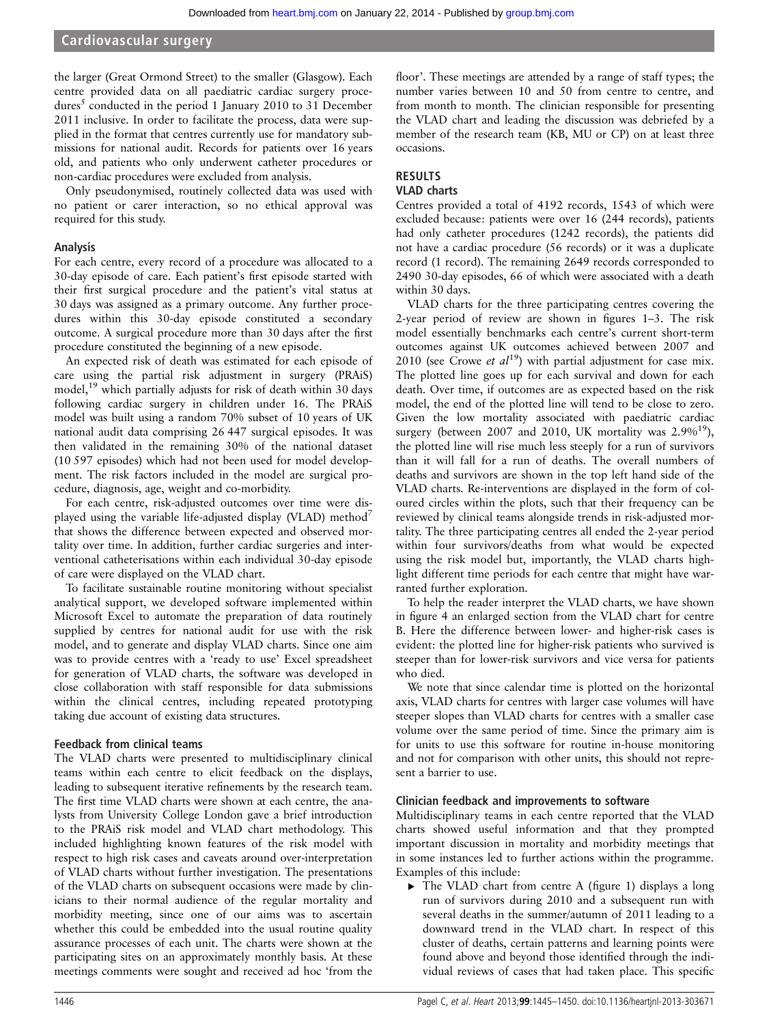### Cardiovascular surgery

the larger (Great Ormond Street) to the smaller (Glasgow). Each centre provided data on all paediatric cardiac surgery procedures<sup>5</sup> conducted in the period 1 January 2010 to 31 December 2011 inclusive. In order to facilitate the process, data were supplied in the format that centres currently use for mandatory submissions for national audit. Records for patients over 16 years old, and patients who only underwent catheter procedures or non-cardiac procedures were excluded from analysis.

Only pseudonymised, routinely collected data was used with no patient or carer interaction, so no ethical approval was required for this study.

### Analysis

For each centre, every record of a procedure was allocated to a 30-day episode of care. Each patient's first episode started with their first surgical procedure and the patient's vital status at 30 days was assigned as a primary outcome. Any further procedures within this 30-day episode constituted a secondary outcome. A surgical procedure more than 30 days after the first procedure constituted the beginning of a new episode.

An expected risk of death was estimated for each episode of care using the partial risk adjustment in surgery (PRAiS) model,<sup>19</sup> which partially adjusts for risk of death within 30 days following cardiac surgery in children under 16. The PRAiS model was built using a random 70% subset of 10 years of UK national audit data comprising 26 447 surgical episodes. It was then validated in the remaining 30% of the national dataset (10 597 episodes) which had not been used for model development. The risk factors included in the model are surgical procedure, diagnosis, age, weight and co-morbidity.

For each centre, risk-adjusted outcomes over time were displayed using the variable life-adjusted display (VLAD) method<sup>7</sup> that shows the difference between expected and observed mortality over time. In addition, further cardiac surgeries and interventional catheterisations within each individual 30-day episode of care were displayed on the VLAD chart.

To facilitate sustainable routine monitoring without specialist analytical support, we developed software implemented within Microsoft Excel to automate the preparation of data routinely supplied by centres for national audit for use with the risk model, and to generate and display VLAD charts. Since one aim was to provide centres with a 'ready to use' Excel spreadsheet for generation of VLAD charts, the software was developed in close collaboration with staff responsible for data submissions within the clinical centres, including repeated prototyping taking due account of existing data structures.

### Feedback from clinical teams

The VLAD charts were presented to multidisciplinary clinical teams within each centre to elicit feedback on the displays, leading to subsequent iterative refinements by the research team. The first time VLAD charts were shown at each centre, the analysts from University College London gave a brief introduction to the PRAiS risk model and VLAD chart methodology. This included highlighting known features of the risk model with respect to high risk cases and caveats around over-interpretation of VLAD charts without further investigation. The presentations of the VLAD charts on subsequent occasions were made by clinicians to their normal audience of the regular mortality and morbidity meeting, since one of our aims was to ascertain whether this could be embedded into the usual routine quality assurance processes of each unit. The charts were shown at the participating sites on an approximately monthly basis. At these meetings comments were sought and received ad hoc 'from the

floor'. These meetings are attended by a range of staff types; the number varies between 10 and 50 from centre to centre, and from month to month. The clinician responsible for presenting the VLAD chart and leading the discussion was debriefed by a member of the research team (KB, MU or CP) on at least three occasions.

## RESULTS

### VLAD charts

Centres provided a total of 4192 records, 1543 of which were excluded because: patients were over 16 (244 records), patients had only catheter procedures (1242 records), the patients did not have a cardiac procedure (56 records) or it was a duplicate record (1 record). The remaining 2649 records corresponded to 2490 30-day episodes, 66 of which were associated with a death within 30 days.

VLAD charts for the three participating centres covering the 2-year period of review are shown in figures 1–3. The risk model essentially benchmarks each centre's current short-term outcomes against UK outcomes achieved between 2007 and 2010 (see Crowe et  $al^{19}$ ) with partial adjustment for case mix. The plotted line goes up for each survival and down for each death. Over time, if outcomes are as expected based on the risk model, the end of the plotted line will tend to be close to zero. Given the low mortality associated with paediatric cardiac surgery (between 2007 and 2010, UK mortality was  $2.9\%^{19}$ ), the plotted line will rise much less steeply for a run of survivors than it will fall for a run of deaths. The overall numbers of deaths and survivors are shown in the top left hand side of the VLAD charts. Re-interventions are displayed in the form of coloured circles within the plots, such that their frequency can be reviewed by clinical teams alongside trends in risk-adjusted mortality. The three participating centres all ended the 2-year period within four survivors/deaths from what would be expected using the risk model but, importantly, the VLAD charts highlight different time periods for each centre that might have warranted further exploration.

To help the reader interpret the VLAD charts, we have shown in figure 4 an enlarged section from the VLAD chart for centre B. Here the difference between lower- and higher-risk cases is evident: the plotted line for higher-risk patients who survived is steeper than for lower-risk survivors and vice versa for patients who died.

We note that since calendar time is plotted on the horizontal axis, VLAD charts for centres with larger case volumes will have steeper slopes than VLAD charts for centres with a smaller case volume over the same period of time. Since the primary aim is for units to use this software for routine in-house monitoring and not for comparison with other units, this should not represent a barrier to use.

### Clinician feedback and improvements to software

Multidisciplinary teams in each centre reported that the VLAD charts showed useful information and that they prompted important discussion in mortality and morbidity meetings that in some instances led to further actions within the programme. Examples of this include:

▸ The VLAD chart from centre A (figure 1) displays a long run of survivors during 2010 and a subsequent run with several deaths in the summer/autumn of 2011 leading to a downward trend in the VLAD chart. In respect of this cluster of deaths, certain patterns and learning points were found above and beyond those identified through the individual reviews of cases that had taken place. This specific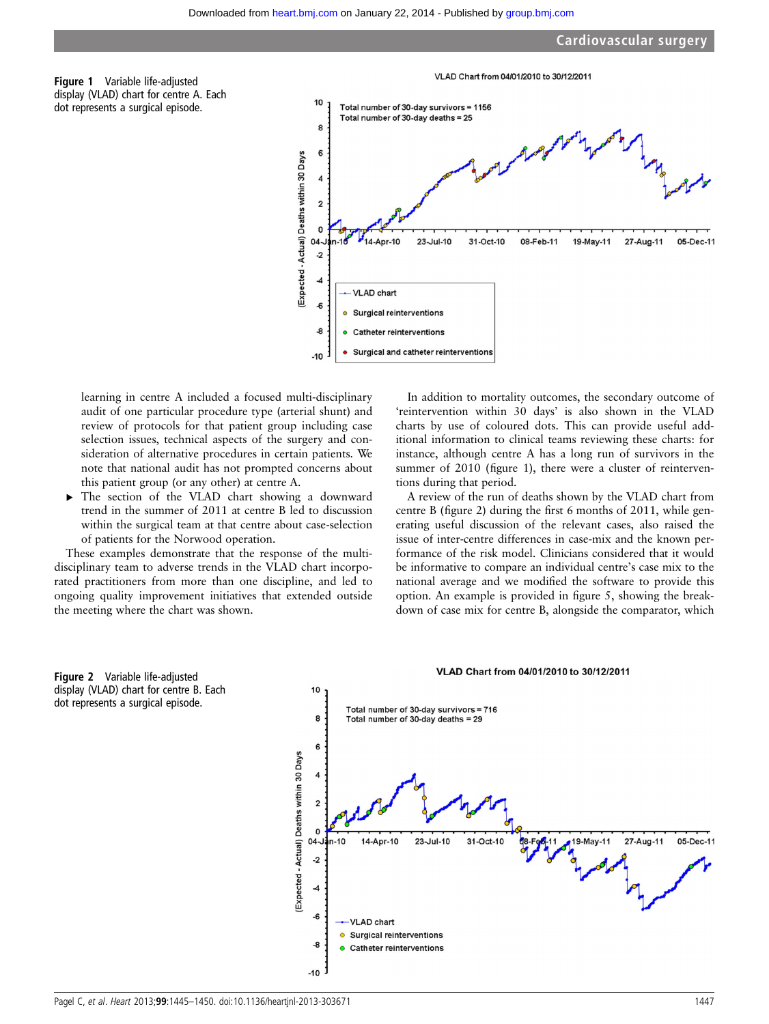



learning in centre A included a focused multi-disciplinary audit of one particular procedure type (arterial shunt) and review of protocols for that patient group including case selection issues, technical aspects of the surgery and consideration of alternative procedures in certain patients. We note that national audit has not prompted concerns about this patient group (or any other) at centre A.

▸ The section of the VLAD chart showing a downward trend in the summer of 2011 at centre B led to discussion within the surgical team at that centre about case-selection of patients for the Norwood operation.

These examples demonstrate that the response of the multidisciplinary team to adverse trends in the VLAD chart incorporated practitioners from more than one discipline, and led to ongoing quality improvement initiatives that extended outside the meeting where the chart was shown.

In addition to mortality outcomes, the secondary outcome of 'reintervention within 30 days' is also shown in the VLAD charts by use of coloured dots. This can provide useful additional information to clinical teams reviewing these charts: for instance, although centre A has a long run of survivors in the summer of 2010 (figure 1), there were a cluster of reinterventions during that period.

A review of the run of deaths shown by the VLAD chart from centre B (figure 2) during the first 6 months of 2011, while generating useful discussion of the relevant cases, also raised the issue of inter-centre differences in case-mix and the known performance of the risk model. Clinicians considered that it would be informative to compare an individual centre's case mix to the national average and we modified the software to provide this option. An example is provided in figure 5, showing the breakdown of case mix for centre B, alongside the comparator, which



 $-10$ 

#### VLAD Chart from 04/01/2010 to 30/12/2011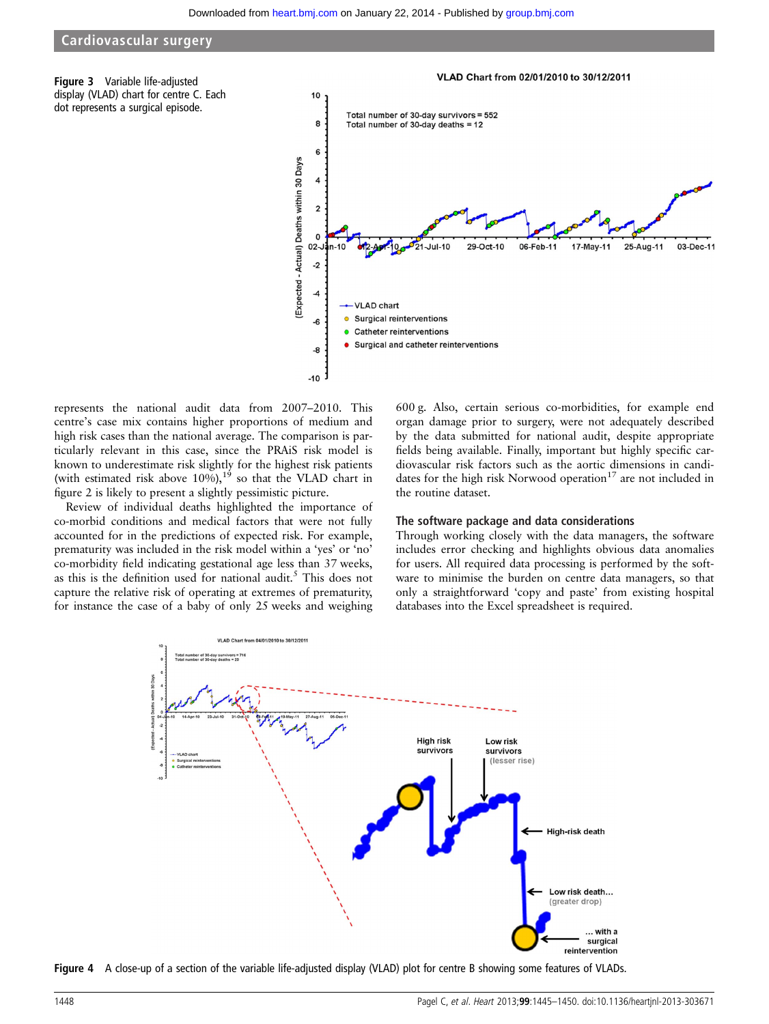### Cardiovascular surgery

Figure 3 Variable life-adjusted display (VLAD) chart for centre C. Each dot represents a surgical episode.



represents the national audit data from 2007–2010. This centre's case mix contains higher proportions of medium and high risk cases than the national average. The comparison is particularly relevant in this case, since the PRAiS risk model is known to underestimate risk slightly for the highest risk patients (with estimated risk above  $10\%$ ),<sup>19</sup> so that the VLAD chart in figure 2 is likely to present a slightly pessimistic picture.

Review of individual deaths highlighted the importance of co-morbid conditions and medical factors that were not fully accounted for in the predictions of expected risk. For example, prematurity was included in the risk model within a 'yes' or 'no' co-morbidity field indicating gestational age less than 37 weeks, as this is the definition used for national audit.<sup>5</sup> This does not capture the relative risk of operating at extremes of prematurity, for instance the case of a baby of only 25 weeks and weighing

600 g. Also, certain serious co-morbidities, for example end organ damage prior to surgery, were not adequately described by the data submitted for national audit, despite appropriate fields being available. Finally, important but highly specific cardiovascular risk factors such as the aortic dimensions in candidates for the high risk Norwood operation $17$  are not included in the routine dataset.

#### The software package and data considerations

Through working closely with the data managers, the software includes error checking and highlights obvious data anomalies for users. All required data processing is performed by the software to minimise the burden on centre data managers, so that only a straightforward 'copy and paste' from existing hospital databases into the Excel spreadsheet is required.



Figure 4 A close-up of a section of the variable life-adjusted display (VLAD) plot for centre B showing some features of VLADs.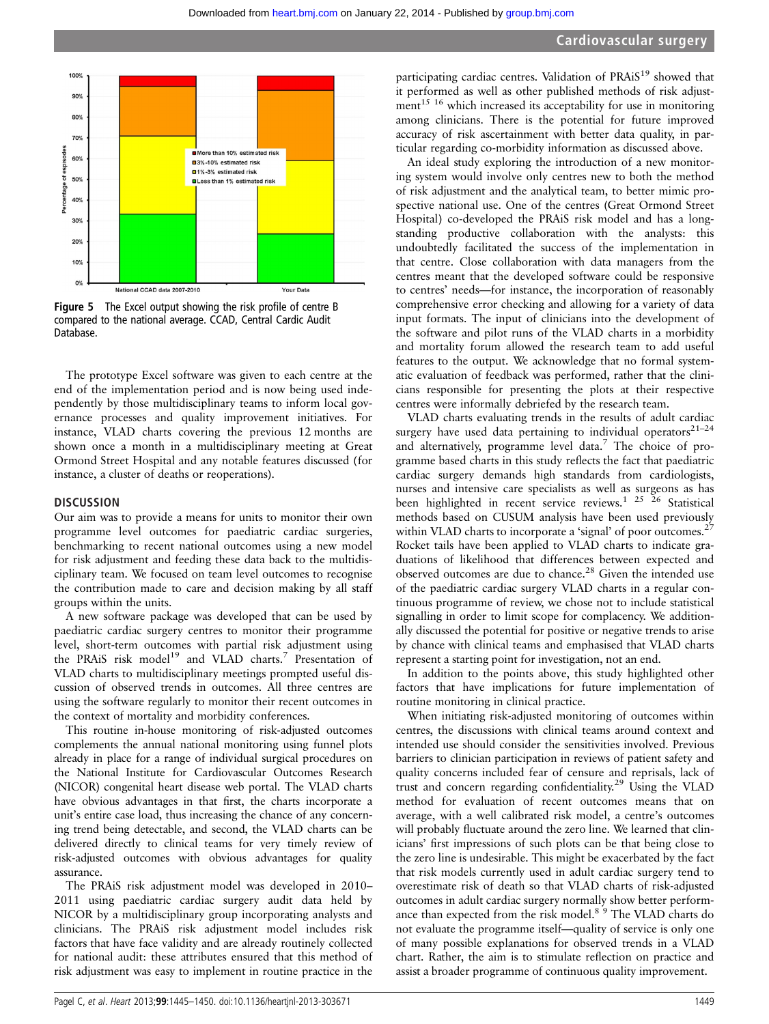

Figure 5 The Excel output showing the risk profile of centre B compared to the national average. CCAD, Central Cardic Audit Database.

The prototype Excel software was given to each centre at the end of the implementation period and is now being used independently by those multidisciplinary teams to inform local governance processes and quality improvement initiatives. For instance, VLAD charts covering the previous 12 months are shown once a month in a multidisciplinary meeting at Great Ormond Street Hospital and any notable features discussed (for instance, a cluster of deaths or reoperations).

#### **DISCUSSION**

Our aim was to provide a means for units to monitor their own programme level outcomes for paediatric cardiac surgeries, benchmarking to recent national outcomes using a new model for risk adjustment and feeding these data back to the multidisciplinary team. We focused on team level outcomes to recognise the contribution made to care and decision making by all staff groups within the units.

A new software package was developed that can be used by paediatric cardiac surgery centres to monitor their programme level, short-term outcomes with partial risk adjustment using the PRAiS risk model<sup>19</sup> and VLAD charts.<sup>7</sup> Presentation of VLAD charts to multidisciplinary meetings prompted useful discussion of observed trends in outcomes. All three centres are using the software regularly to monitor their recent outcomes in the context of mortality and morbidity conferences.

This routine in-house monitoring of risk-adjusted outcomes complements the annual national monitoring using funnel plots already in place for a range of individual surgical procedures on the National Institute for Cardiovascular Outcomes Research (NICOR) congenital heart disease web portal. The VLAD charts have obvious advantages in that first, the charts incorporate a unit's entire case load, thus increasing the chance of any concerning trend being detectable, and second, the VLAD charts can be delivered directly to clinical teams for very timely review of risk-adjusted outcomes with obvious advantages for quality assurance.

The PRAiS risk adjustment model was developed in 2010– 2011 using paediatric cardiac surgery audit data held by NICOR by a multidisciplinary group incorporating analysts and clinicians. The PRAiS risk adjustment model includes risk factors that have face validity and are already routinely collected for national audit: these attributes ensured that this method of risk adjustment was easy to implement in routine practice in the

participating cardiac centres. Validation of PRAiS<sup>19</sup> showed that it performed as well as other published methods of risk adjustment<sup>15 16</sup> which increased its acceptability for use in monitoring among clinicians. There is the potential for future improved accuracy of risk ascertainment with better data quality, in particular regarding co-morbidity information as discussed above.

An ideal study exploring the introduction of a new monitoring system would involve only centres new to both the method of risk adjustment and the analytical team, to better mimic prospective national use. One of the centres (Great Ormond Street Hospital) co-developed the PRAiS risk model and has a longstanding productive collaboration with the analysts: this undoubtedly facilitated the success of the implementation in that centre. Close collaboration with data managers from the centres meant that the developed software could be responsive to centres' needs—for instance, the incorporation of reasonably comprehensive error checking and allowing for a variety of data input formats. The input of clinicians into the development of the software and pilot runs of the VLAD charts in a morbidity and mortality forum allowed the research team to add useful features to the output. We acknowledge that no formal systematic evaluation of feedback was performed, rather that the clinicians responsible for presenting the plots at their respective centres were informally debriefed by the research team.

VLAD charts evaluating trends in the results of adult cardiac surgery have used data pertaining to individual operators $21-24$ and alternatively, programme level data.<sup>7</sup> The choice of programme based charts in this study reflects the fact that paediatric cardiac surgery demands high standards from cardiologists, nurses and intensive care specialists as well as surgeons as has been highlighted in recent service reviews.<sup>1 25</sup> <sup>26</sup> Statistical methods based on CUSUM analysis have been used previously within VLAD charts to incorporate a 'signal' of poor outcomes.<sup>27</sup> Rocket tails have been applied to VLAD charts to indicate graduations of likelihood that differences between expected and observed outcomes are due to chance.<sup>28</sup> Given the intended use of the paediatric cardiac surgery VLAD charts in a regular continuous programme of review, we chose not to include statistical signalling in order to limit scope for complacency. We additionally discussed the potential for positive or negative trends to arise by chance with clinical teams and emphasised that VLAD charts represent a starting point for investigation, not an end.

In addition to the points above, this study highlighted other factors that have implications for future implementation of routine monitoring in clinical practice.

When initiating risk-adjusted monitoring of outcomes within centres, the discussions with clinical teams around context and intended use should consider the sensitivities involved. Previous barriers to clinician participation in reviews of patient safety and quality concerns included fear of censure and reprisals, lack of trust and concern regarding confidentiality.<sup>29</sup> Using the VLAD method for evaluation of recent outcomes means that on average, with a well calibrated risk model, a centre's outcomes will probably fluctuate around the zero line. We learned that clinicians' first impressions of such plots can be that being close to the zero line is undesirable. This might be exacerbated by the fact that risk models currently used in adult cardiac surgery tend to overestimate risk of death so that VLAD charts of risk-adjusted outcomes in adult cardiac surgery normally show better performance than expected from the risk model.<sup>8</sup><sup>9</sup> The VLAD charts do not evaluate the programme itself—quality of service is only one of many possible explanations for observed trends in a VLAD chart. Rather, the aim is to stimulate reflection on practice and assist a broader programme of continuous quality improvement.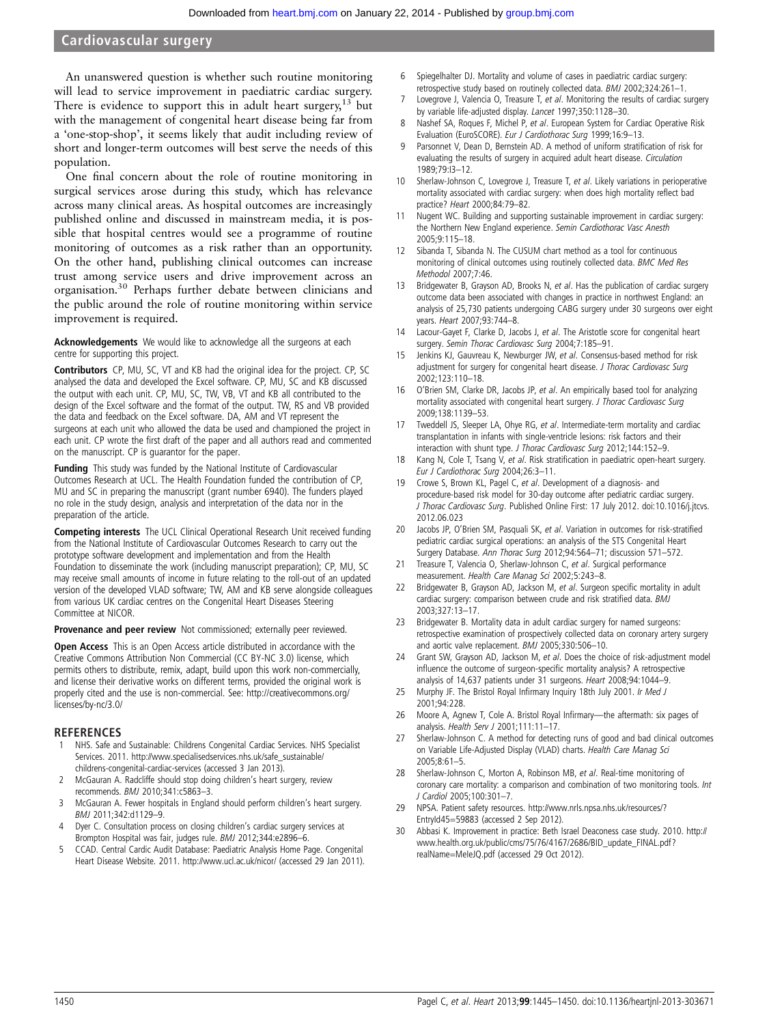### Cardiovascular surgery

An unanswered question is whether such routine monitoring will lead to service improvement in paediatric cardiac surgery. There is evidence to support this in adult heart surgery,  $13$  but with the management of congenital heart disease being far from a 'one-stop-shop', it seems likely that audit including review of short and longer-term outcomes will best serve the needs of this population.

One final concern about the role of routine monitoring in surgical services arose during this study, which has relevance across many clinical areas. As hospital outcomes are increasingly published online and discussed in mainstream media, it is possible that hospital centres would see a programme of routine monitoring of outcomes as a risk rather than an opportunity. On the other hand, publishing clinical outcomes can increase trust among service users and drive improvement across an organisation.30 Perhaps further debate between clinicians and the public around the role of routine monitoring within service improvement is required.

Acknowledgements We would like to acknowledge all the surgeons at each centre for supporting this project.

Contributors CP, MU, SC, VT and KB had the original idea for the project. CP, SC analysed the data and developed the Excel software. CP, MU, SC and KB discussed the output with each unit. CP, MU, SC, TW, VB, VT and KB all contributed to the design of the Excel software and the format of the output. TW, RS and VB provided the data and feedback on the Excel software. DA, AM and VT represent the surgeons at each unit who allowed the data be used and championed the project in each unit. CP wrote the first draft of the paper and all authors read and commented on the manuscript. CP is guarantor for the paper.

**Funding** This study was funded by the National Institute of Cardiovascular Outcomes Research at UCL. The Health Foundation funded the contribution of CP, MU and SC in preparing the manuscript (grant number 6940). The funders played no role in the study design, analysis and interpretation of the data nor in the preparation of the article.

Competing interests The UCL Clinical Operational Research Unit received funding from the National Institute of Cardiovascular Outcomes Research to carry out the prototype software development and implementation and from the Health Foundation to disseminate the work (including manuscript preparation); CP, MU, SC may receive small amounts of income in future relating to the roll-out of an updated version of the developed VLAD software; TW, AM and KB serve alongside colleagues from various UK cardiac centres on the Congenital Heart Diseases Steering Committee at NICOR.

Provenance and peer review Not commissioned; externally peer reviewed.

Open Access This is an Open Access article distributed in accordance with the Creative Commons Attribution Non Commercial (CC BY-NC 3.0) license, which permits others to distribute, remix, adapt, build upon this work non-commercially, and license their derivative works on different terms, provided the original work is properly cited and the use is non-commercial. See: http://creativecommons.org/ licenses/by-nc/3.0/

### REFERENCES

- 1 NHS. Safe and Sustainable: Childrens Congenital Cardiac Services. NHS Specialist Services. 2011. [http://www.specialisedservices.nhs.uk/safe\\_sustainable/](http://www.specialisedservices.nhs.uk/safe_sustainable/childrens-congenital-cardiac-services) [childrens-congenital-cardiac-services](http://www.specialisedservices.nhs.uk/safe_sustainable/childrens-congenital-cardiac-services) (accessed 3 Jan 2013).
- 2 McGauran A. Radcliffe should stop doing children's heart surgery, review recommends. BMJ 2010;341:c5863–3.
- 3 McGauran A. Fewer hospitals in England should perform children's heart surgery. BMJ 2011;342:d1129–9.
- Dyer C. Consultation process on closing children's cardiac surgery services at Brompton Hospital was fair, judges rule. BMJ 2012;344:e2896–6.
- 5 CCAD. Central Cardic Audit Database: Paediatric Analysis Home Page. Congenital Heart Disease Website. 2011.<http://www.ucl.ac.uk/nicor/> (accessed 29 Jan 2011).
- 6 Spiegelhalter DJ. Mortality and volume of cases in paediatric cardiac surgery: retrospective study based on routinely collected data. BMJ 2002;324:261–1.
- 7 Lovegrove J, Valencia O, Treasure T, et al. Monitoring the results of cardiac surgery by variable life-adjusted display. Lancet 1997;350:1128–30.
- 8 Nashef SA, Roques F, Michel P, et al. European System for Cardiac Operative Risk Evaluation (EuroSCORE). Eur J Cardiothorac Surg 1999;16:9–13.
- Parsonnet V, Dean D, Bernstein AD. A method of uniform stratification of risk for evaluating the results of surgery in acquired adult heart disease. Circulation 1989;79:I3–12.
- 10 Sherlaw-Johnson C, Lovegrove J, Treasure T, et al. Likely variations in perioperative mortality associated with cardiac surgery: when does high mortality reflect bad practice? Heart 2000;84:79–82.
- 11 Nugent WC. Building and supporting sustainable improvement in cardiac surgery: the Northern New England experience. Semin Cardiothorac Vasc Anesth 2005;9:115–18.
- 12 Sibanda T, Sibanda N. The CUSUM chart method as a tool for continuous monitoring of clinical outcomes using routinely collected data. BMC Med Res Methodol 2007;7:46.
- 13 Bridgewater B, Grayson AD, Brooks N, et al. Has the publication of cardiac surgery outcome data been associated with changes in practice in northwest England: an analysis of 25,730 patients undergoing CABG surgery under 30 surgeons over eight years. Heart 2007;93:744–8.
- 14 Lacour-Gayet F, Clarke D, Jacobs J, et al. The Aristotle score for congenital heart surgery. Semin Thorac Cardiovasc Surg 2004;7:185–91.
- 15 Jenkins KJ, Gauvreau K, Newburger JW, et al. Consensus-based method for risk adjustment for surgery for congenital heart disease. J Thorac Cardiovasc Surg 2002;123:110–18.
- 16 O'Brien SM, Clarke DR, Jacobs JP, et al. An empirically based tool for analyzing mortality associated with congenital heart surgery. J Thorac Cardiovasc Surg 2009;138:1139–53.
- 17 Tweddell JS, Sleeper LA, Ohye RG, et al. Intermediate-term mortality and cardiac transplantation in infants with single-ventricle lesions: risk factors and their interaction with shunt type. J Thorac Cardiovasc Surg 2012;144:152–9.
- 18 Kang N, Cole T, Tsang V, et al. Risk stratification in paediatric open-heart surgery. Eur J Cardiothorac Surg 2004;26:3–11.
- 19 Crowe S, Brown KL, Pagel C, et al. Development of a diagnosis- and procedure-based risk model for 30-day outcome after pediatric cardiac surgery. J Thorac Cardiovasc Surg. Published Online First: 17 July 2012. doi:[10.1016/j.jtcvs.](http://dx.doi.org/10.1016/j.jtcvs.2012.06.023) [2012.06.023](http://dx.doi.org/10.1016/j.jtcvs.2012.06.023)
- 20 Jacobs JP, O'Brien SM, Pasquali SK, et al. Variation in outcomes for risk-stratified pediatric cardiac surgical operations: an analysis of the STS Congenital Heart Surgery Database. Ann Thorac Surg 2012;94:564–71; discussion 571–572.
- 21 Treasure T, Valencia O, Sherlaw-Johnson C, et al. Surgical performance measurement. Health Care Manag Sci 2002;5:243–8.
- 22 Bridgewater B, Grayson AD, Jackson M, et al. Surgeon specific mortality in adult cardiac surgery: comparison between crude and risk stratified data. BMJ 2003;327:13–17.
- 23 Bridgewater B. Mortality data in adult cardiac surgery for named surgeons: retrospective examination of prospectively collected data on coronary artery surgery and aortic valve replacement. BMJ 2005;330:506–10.
- 24 Grant SW, Grayson AD, Jackson M, et al. Does the choice of risk-adjustment model influence the outcome of surgeon-specific mortality analysis? A retrospective analysis of 14,637 patients under 31 surgeons. Heart 2008;94:1044–9.
- 25 Murphy JF. The Bristol Royal Infirmary Inquiry 18th July 2001. Ir Med J 2001;94:228.
- 26 Moore A, Agnew T, Cole A. Bristol Royal Infirmary—the aftermath: six pages of analysis. Health Serv J 2001;111:11–17.
- 27 Sherlaw-Johnson C. A method for detecting runs of good and bad clinical outcomes on Variable Life-Adjusted Display (VLAD) charts. Health Care Manag Sci 2005;8:61–5.
- 28 Sherlaw-Johnson C, Morton A, Robinson MB, et al. Real-time monitoring of coronary care mortality: a comparison and combination of two monitoring tools. Int J Cardiol 2005;100:301–7.
- 29 NPSA. Patient safety resources. [http://www.nrls.npsa.nhs.uk/resources/?](http://www.nrls.npsa.nhs.uk/resources/?EntryId45=59883) [EntryId45=59883](http://www.nrls.npsa.nhs.uk/resources/?EntryId45=59883) (accessed 2 Sep 2012).
- 30 Abbasi K. Improvement in practice: Beth Israel Deaconess case study. 2010. [http://](http://www.health.org.uk/public/cms/75/76/4167/2686/BID_update_FINAL.pdf?realName=MeIeJQ.pdf) [www.health.org.uk/public/cms/75/76/4167/2686/BID\\_update\\_FINAL.pdf?](http://www.health.org.uk/public/cms/75/76/4167/2686/BID_update_FINAL.pdf?realName=MeIeJQ.pdf) [realName=MeIeJQ.pdf](http://www.health.org.uk/public/cms/75/76/4167/2686/BID_update_FINAL.pdf?realName=MeIeJQ.pdf) (accessed 29 Oct 2012).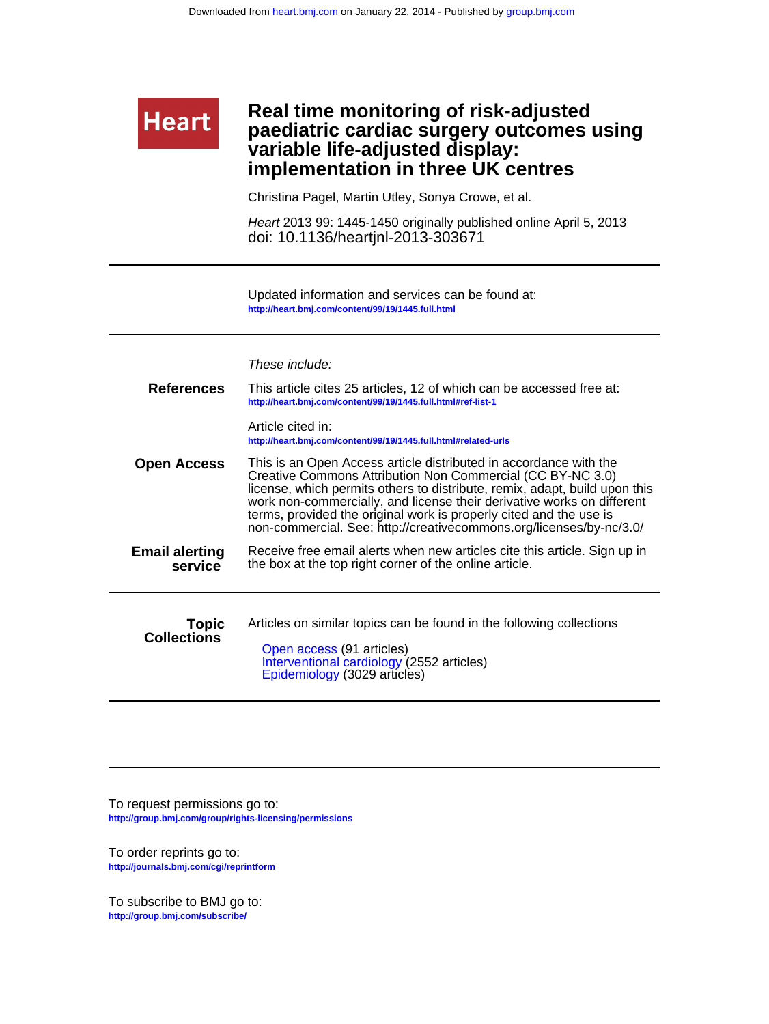# **implementation in three UK centres variable life-adjusted display: paediatric cardiac surgery outcomes using Real time monitoring of risk-adjusted**

Christina Pagel, Martin Utley, Sonya Crowe, et al.

doi: 10.1136/heartjnl-2013-303671 Heart 2013 99: 1445-1450 originally published online April 5, 2013

**<http://heart.bmj.com/content/99/19/1445.full.html>** Updated information and services can be found at:

|                                    | These include:                                                                                                                                                                                                                                                                                                                                                                                                                       |
|------------------------------------|--------------------------------------------------------------------------------------------------------------------------------------------------------------------------------------------------------------------------------------------------------------------------------------------------------------------------------------------------------------------------------------------------------------------------------------|
| <b>References</b>                  | This article cites 25 articles, 12 of which can be accessed free at:<br>http://heart.bmj.com/content/99/19/1445.full.html#ref-list-1                                                                                                                                                                                                                                                                                                 |
|                                    | Article cited in:<br>http://heart.bmj.com/content/99/19/1445.full.html#related-urls                                                                                                                                                                                                                                                                                                                                                  |
| <b>Open Access</b>                 | This is an Open Access article distributed in accordance with the<br>Creative Commons Attribution Non Commercial (CC BY-NC 3.0)<br>license, which permits others to distribute, remix, adapt, build upon this<br>work non-commercially, and license their derivative works on different<br>terms, provided the original work is properly cited and the use is<br>non-commercial. See: http://creativecommons.org/licenses/by-nc/3.0/ |
| <b>Email alerting</b><br>service   | Receive free email alerts when new articles cite this article. Sign up in<br>the box at the top right corner of the online article.                                                                                                                                                                                                                                                                                                  |
| <b>Topic</b><br><b>Collections</b> | Articles on similar topics can be found in the following collections<br>Open access (91 articles)<br>Interventional cardiology (2552 articles)<br>Epidemiology (3029 articles)                                                                                                                                                                                                                                                       |

**<http://group.bmj.com/group/rights-licensing/permissions>** To request permissions go to:

**<http://journals.bmj.com/cgi/reprintform>** To order reprints go to:

**Heart** 

**<http://group.bmj.com/subscribe/>** To subscribe to BMJ go to: